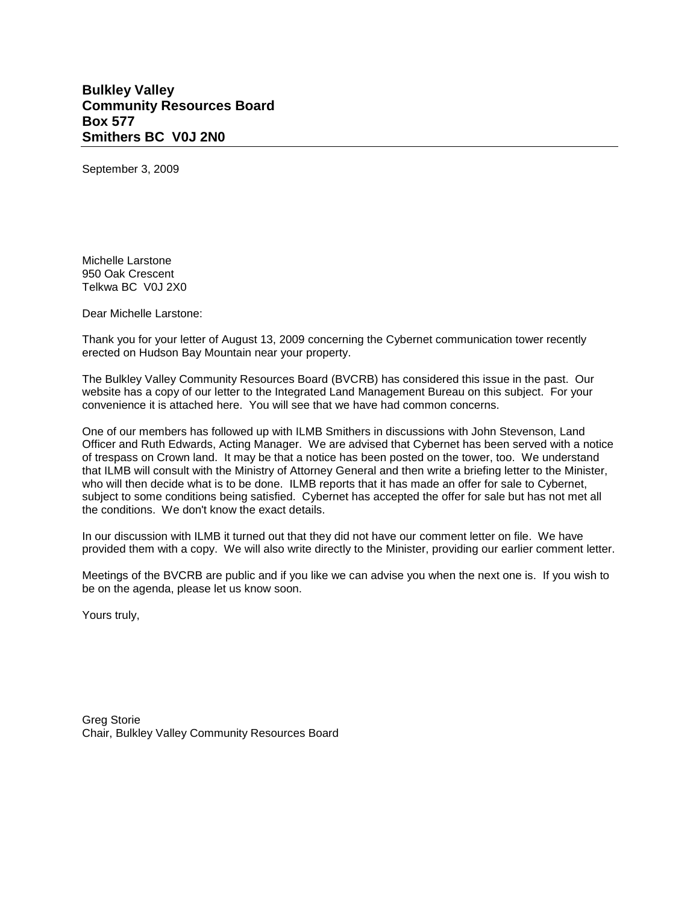## **Bulkley Valley Community Resources Board Box 577 Smithers BC V0J 2N0**

September 3, 2009

Michelle Larstone 950 Oak Crescent Telkwa BC V0J 2X0

Dear Michelle Larstone:

Thank you for your letter of August 13, 2009 concerning the Cybernet communication tower recently erected on Hudson Bay Mountain near your property.

The Bulkley Valley Community Resources Board (BVCRB) has considered this issue in the past. Our website has a copy of our letter to the Integrated Land Management Bureau on this subject. For your convenience it is attached here. You will see that we have had common concerns.

One of our members has followed up with ILMB Smithers in discussions with John Stevenson, Land Officer and Ruth Edwards, Acting Manager. We are advised that Cybernet has been served with a notice of trespass on Crown land. It may be that a notice has been posted on the tower, too. We understand that ILMB will consult with the Ministry of Attorney General and then write a briefing letter to the Minister, who will then decide what is to be done. ILMB reports that it has made an offer for sale to Cybernet, subject to some conditions being satisfied. Cybernet has accepted the offer for sale but has not met all the conditions. We don't know the exact details.

In our discussion with ILMB it turned out that they did not have our comment letter on file. We have provided them with a copy. We will also write directly to the Minister, providing our earlier comment letter.

Meetings of the BVCRB are public and if you like we can advise you when the next one is. If you wish to be on the agenda, please let us know soon.

Yours truly,

Greg Storie Chair, Bulkley Valley Community Resources Board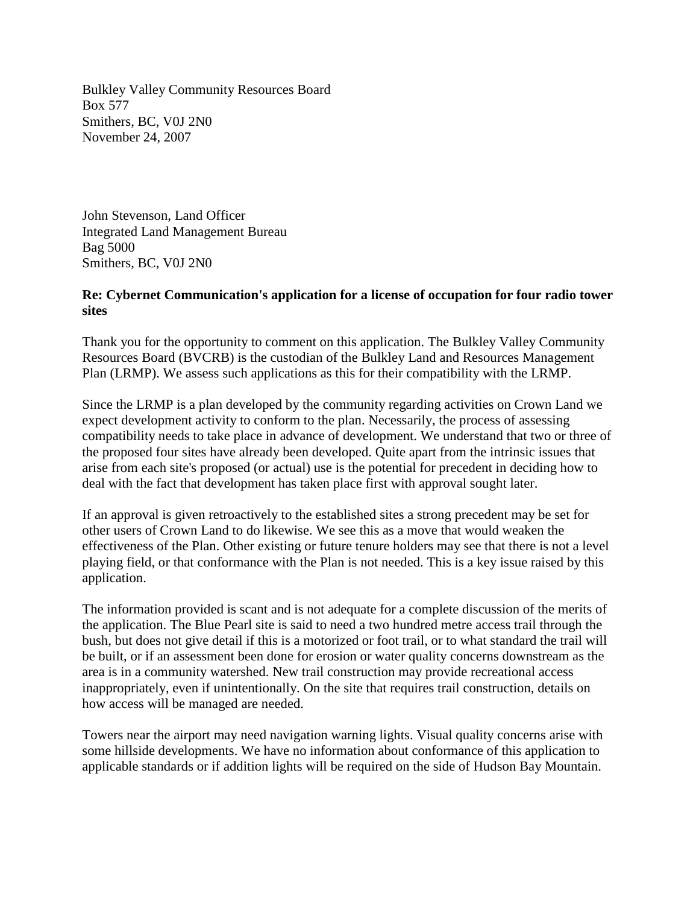Bulkley Valley Community Resources Board Box 577 Smithers, BC, V0J 2N0 November 24, 2007

John Stevenson, Land Officer Integrated Land Management Bureau Bag 5000 Smithers, BC, V0J 2N0

## **Re: Cybernet Communication's application for a license of occupation for four radio tower sites**

Thank you for the opportunity to comment on this application. The Bulkley Valley Community Resources Board (BVCRB) is the custodian of the Bulkley Land and Resources Management Plan (LRMP). We assess such applications as this for their compatibility with the LRMP.

Since the LRMP is a plan developed by the community regarding activities on Crown Land we expect development activity to conform to the plan. Necessarily, the process of assessing compatibility needs to take place in advance of development. We understand that two or three of the proposed four sites have already been developed. Quite apart from the intrinsic issues that arise from each site's proposed (or actual) use is the potential for precedent in deciding how to deal with the fact that development has taken place first with approval sought later.

If an approval is given retroactively to the established sites a strong precedent may be set for other users of Crown Land to do likewise. We see this as a move that would weaken the effectiveness of the Plan. Other existing or future tenure holders may see that there is not a level playing field, or that conformance with the Plan is not needed. This is a key issue raised by this application.

The information provided is scant and is not adequate for a complete discussion of the merits of the application. The Blue Pearl site is said to need a two hundred metre access trail through the bush, but does not give detail if this is a motorized or foot trail, or to what standard the trail will be built, or if an assessment been done for erosion or water quality concerns downstream as the area is in a community watershed. New trail construction may provide recreational access inappropriately, even if unintentionally. On the site that requires trail construction, details on how access will be managed are needed.

Towers near the airport may need navigation warning lights. Visual quality concerns arise with some hillside developments. We have no information about conformance of this application to applicable standards or if addition lights will be required on the side of Hudson Bay Mountain.